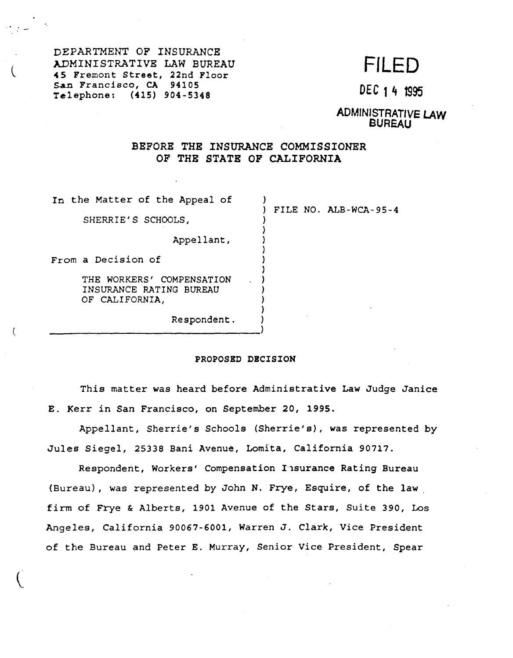DEPARTMENT OF INSURANCE 45 Fremont Street, 22nd ADMINISTRATIVE LAW BUREAU San Francisco, CA 94105 San Francisco, CA 94105<br>Telephone: (415) 904-5348 DEC 14 1995

# FILED

ADMINISTRATIVE LAW BUREAU

## BEFORE THE INSURANCE COMMISSIONER OF THE STATE OF CALIFORNIA

In the Matter of the Appeal of SHERRIE'S SCHOOLS, Appellant, From a Decision of THE WORKERS' COMPENSATION INSURANCE RATING BUREAU<br>OF CALIFORNIA, ) ) FILE NO. ALB-WCA-95-4 ) ) ) ) ) } } )

OF CALIFORNIA,<br>Respondent. Respondent.  $\begin{pmatrix} 1 \\ 2 \end{pmatrix}$ 

### **PROPOSED DECISION**

} )

 $\mathbf{\hat{i}}$ 

This matter was heard before Administrative Law Judge Janice E. Kerr in San Francisco, on September *20,* 1995.

Appellant, Sherrie's Schools (Sherrie's}, was represented by Jules Siegel, 25338 Bani Avenue, Lomita, California 90717.

Respondent, Workers' Compensation I1surance Rating Bureau (Bureau}, was represented by John N. Frye, Esquire, of the law, firm of Frye & Alberts, 1901 Avenue of the Stars, Suite 390, Los Angeles, California 90067-6001, Warren J. Clark, Vice President of the Bureau and Peter E. Murray, Senior Vice President, Spear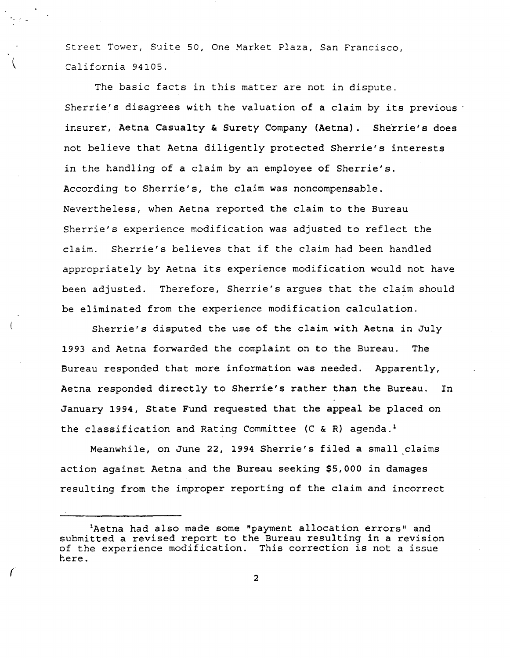Street Tower, Suite 50, One Market Plaza, San Francisco, California 94105.

The basic facts in this matter are not in dispute. Sherrie's disagrees with the valuation of a claim by its previous  $\cdot$ insurer, Aetna Casualty & Surety Company **(Aetna).** Sherrie's does not believe that Aetna diligently protected Sherrie's interests in the handling of a claim by an employee of Sherrie's. According to Sherrie's, the claim was noncompensable. Nevertheless, when Aetna reported the claim to the Bureau Sherrie's experience modification was adjusted to reflect the claim. Sherrie's believes that if the claim had been handled appropriately by Aetna its experience modification would not have been adjusted. Therefore, Sherrie's argues that the claim should be eliminated from the experience modification calculation.

Sherrie's disputed the use of the claim with Aetna in July 1993 and Aetna forwarded the complaint on to the Bureau. The Bureau responded that more information was needed. Apparently, Aetna responded directly to Sherrie's rather than the Bureau. In January 1994, State Fund requested that the appeal be placed on the classification and Rating Committee (C & R) agenda.<sup>1</sup>

Meanwhile, on June 22, 1994 Sherrie's filed a small claims action against Aetna and the Bureau seeking \$5,000 in damages resulting from the improper reporting of the claim and incorrect

2

<sup>1</sup>Aetna had also made some "payment allocation errors" and submitted a revised report to the Bureau resulting in a revision of the experience modification. This correction is not a issue here.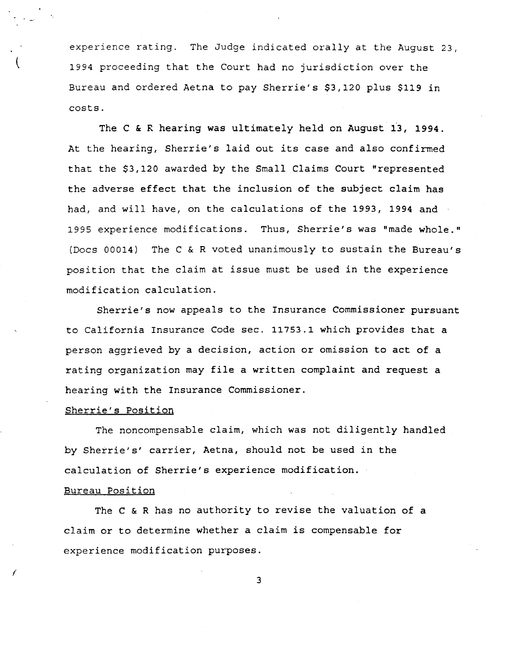experience rating. The Judge indicated orally at the August 23, 1994 proceeding that the Court had no jurisdiction over the Bureau and ordered Aetna to pay Sherrie's \$3,120 plus \$119 in costs.

The C & R hearing was ultimately held on August 13, 1994. At the hearing, Sherrie's laid out its case and also confirmed that the \$3,120 awarded by the Small Claims Court "represented the adverse effect that the inclusion of the subject claim has had, and will have, on the calculations of the 1993, 1994 and 1995 experience modifications. Thus, Sherrie's was "made whole." (Docs 00014) The C & R voted unanimously to sustain the Bureau's position that the claim at issue must be used in the experience modification calculation.

Sherrie's now appeals to the Insurance Commissioner pursuant to California Insurance Code sec. 11753.1 which provides that a person aggrieved by a decision, action or omission to act of a rating organization may file a written complaint and request a hearing with the Insurance Commissioner.

#### Sherrie's Position

(

*(* 

The noncompensable claim, which was not diligently handled by Sherrie's' carrier, Aetna, should not be used in the calculation of Sherrie's experience modification.

#### Bureau Position

The C & R has no authority to revise the valuation of a claim or to determine whether a claim is compensable for experience modification purposes.

3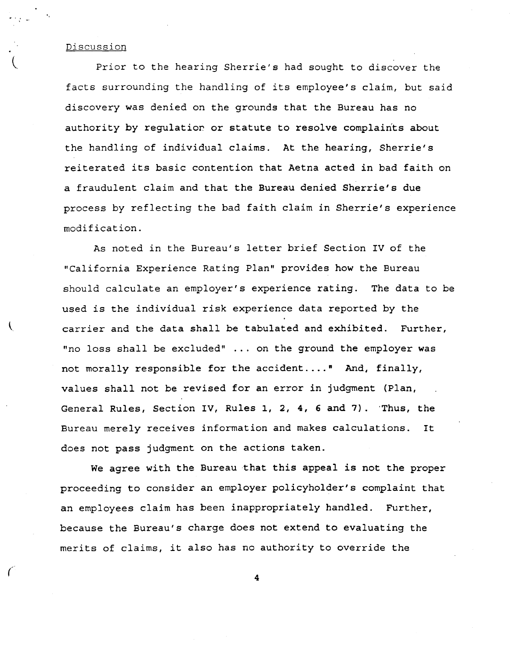### Discussion

 $\overline{\mathcal{L}}$ 

Prior to the hearing Sherrie's had sought to discover the facts surrounding the handling of its employee's claim, but said discovery was denied on the grounds that the Bureau has no authority by regulatior. or statute to resolve complaints about the handling of individual claims. At the hearing, Sherrie's reiterated its basic contention that Aetna acted in bad faith on a fraudulent claim and that the Bureau denied Sherrie's due process by reflecting the bad faith claim in Sherrie's experience modification.

As noted in the Bureau's letter brief Section IV of the "California Experience Rating Plan" provides how the Bureau should calculate an employer's experience rating. The data to be used is the individual risk experience data reported by the carrier and the data shall be tabulated and exhibited. Further, "no loss shall be excluded" ... on the ground the employer was not morally responsible for the accident .... " And, finally, values shall not be revised for an error in judgment (Plan, General Rules, Section IV, Rules 1, 2, 4, 6 and 7). Thus, the Bureau merely receives information and makes calculations. It does not pass judgment on the actions taken.

We agree with the Bureau that this appeal is not the proper proceeding to consider an employer policyholder's complaint that an employees claim has been inappropriately handled. Further, because the Bureau's charge does not extend to evaluating the merits of claims, it also has no authority to override the

*(* 4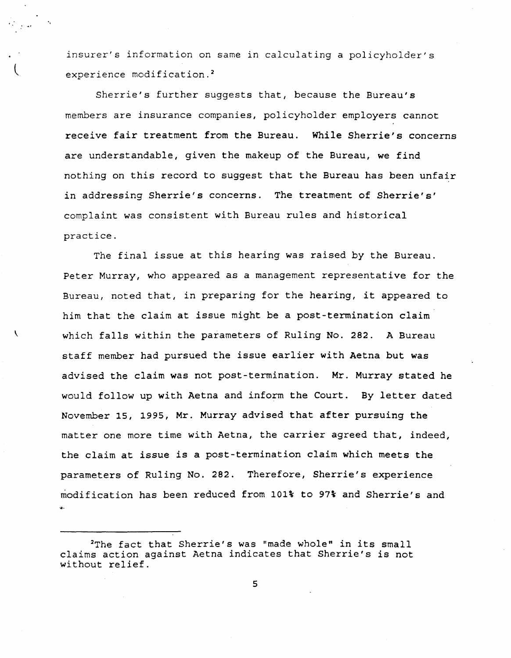insurer's information on same in calculating a policyholder's experience modification.<sup>2</sup>

Sherrie's further suggests that, because the Bureau's members are insurance companies, policyholder employers cannot receive fair treatment from the Bureau. While Sherrie's concerns are understandable, given the makeup of the Bureau, we find nothing on this record to suggest that the Bureau has been unfair in addressing Sherrie's concerns. The treatment of Sherrie's' complaint was consistent with Bureau rules and historical practice.

The final issue at this hearing was raised by the Bureau. Peter Murray, who appeared as a management representative for the Bureau, noted that, in preparing for the hearing, it appeared to him that the claim at issue might be a post-termination claim which falls within the parameters of Ruling No. 282. A Bureau staff member had pursued the issue earlier with Aetna but was advised the claim was not post-termination. Mr. Murray stated he would follow up with Aetna and inform the Court. By letter dated November 15, 1995, Mr. Murray advised that after pursuing the matter one more time with Aetna, the carrier agreed that, indeed, the claim at issue is a post-termination claim which meets the parameters of Ruling No. 282. Therefore, Sherrie's experience modification has been reduced from 101% to 97% and Sherrie's and

'

5

<sup>2</sup>The fact that Sherrie's was "made whole" in its small claims action against Aetna indicates that Sherrie's is not without relief.